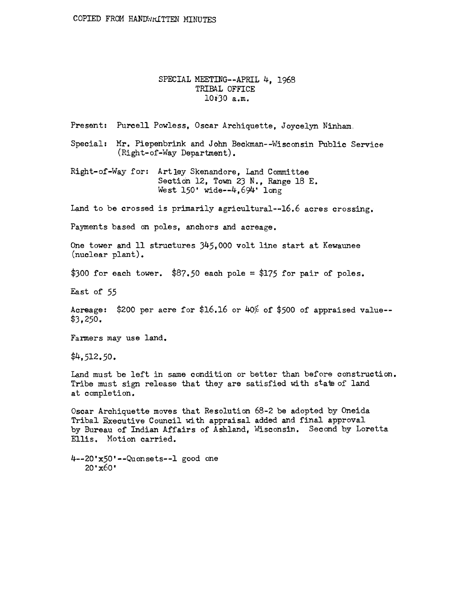## SPECIAL MEETING--APRIL 4, 1968 TRIBAL OFFICE lOiJO a.m.

Present: Purcell Powless, Oscar Archiquette, Joycelyn Ninham.

Special: Mr. Piepenbrink and John Beckman--Wisconsin Public Service (Right-of-Way Department).

Right-of-Way for: Artley Skenandore, Land Committee Section 12, Town 23 N., Range 18 E. West 150' wide--4,694' long

Land to be crossed is primarily agricultural--16.6 acres crossing.

Payments based on poles, anchors and acreage.

One tower and 11 structures 345,000 volt line start at Kewaunee (nuclear plant).

\$300 for each tower. \$87.50 each pole = \$175 for pair of poles.

East of *55* 

Acreage:  $$200$  per acre for  $$16.16$  or  $40\%$  of  $$500$  of appraised value--\$3, 250.

Farmers may use land.

\$4,512.50.

Land must be left in same condition or better than before construction. Tribe must sign release that they are satisfied with state of land at completion.

Oscar Archiquette moves that Resolution 68-2 be adopted by Oneida Tribal Executive Council with appraisal added and final approval by Bureau of Indian Affairs of Ashland, Wisconsin. Second by Loretta Ellis. Motion carried.

4--20'x50'--Quonsets--l good one 20'x6o•